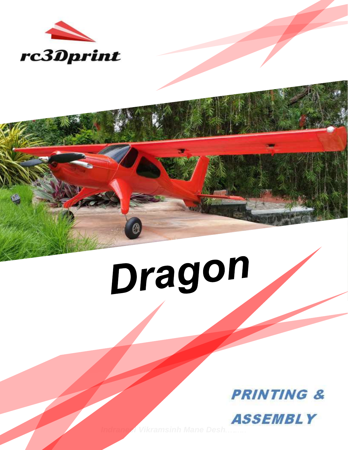

# Dragon

**PRINTING & ASSEMBLY**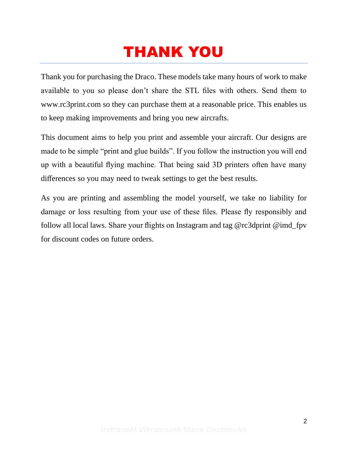# THANK YOU

Thank you for purchasing the Draco. These models take many hours of work to make available to you so please don't share the STL files with others. Send them to www.rc3print.com so they can purchase them at a reasonable price. This enables us to keep making improvements and bring you new aircrafts.

This document aims to help you print and assemble your aircraft. Our designs are made to be simple "print and glue builds". If you follow the instruction you will end up with a beautiful flying machine. That being said 3D printers often have many differences so you may need to tweak settings to get the best results.

As you are printing and assembling the model yourself, we take no liability for damage or loss resulting from your use of these files. Please fly responsibly and follow all local laws. Share your flights on Instagram and tag @rc3dprint @imd\_fpv for discount codes on future orders.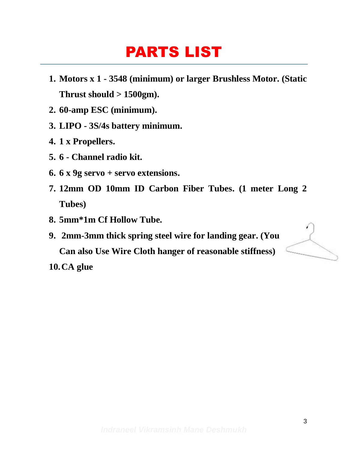## PARTS LIST

- **1. Motors x 1 - 3548 (minimum) or larger Brushless Motor. (Static Thrust should > 1500gm).**
- **2. 60-amp ESC (minimum).**
- **3. LIPO - 3S/4s battery minimum.**
- **4. 1 x Propellers.**
- **5. 6 - Channel radio kit.**
- **6. 6 x 9g servo + servo extensions.**
- **7. 12mm OD 10mm ID Carbon Fiber Tubes. (1 meter Long 2 Tubes)**
- **8. 5mm\*1m Cf Hollow Tube.**
- **9. 2mm-3mm thick spring steel wire for landing gear. (You Can also Use Wire Cloth hanger of reasonable stiffness)**

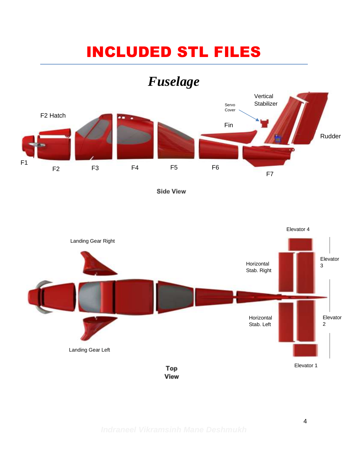# INCLUDED STL FILES

## *Fuselage*



**Side View** 

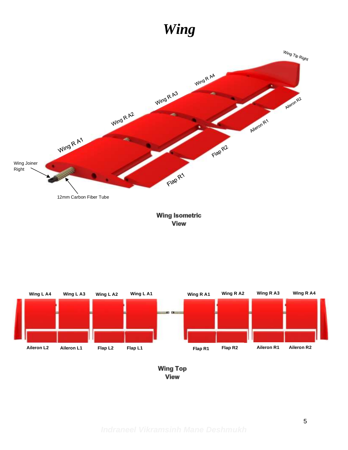## *Wing*



#### **Wing Isometric View**



**Wing Top** View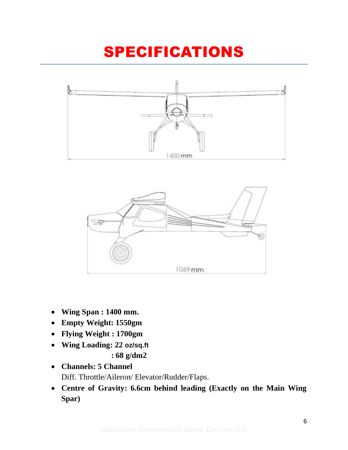# SPECIFICATIONS





- **Wing Span : 1400 mm.**
- **Empty Weight: 1550gm**
- **Flying Weight : 1700gm**
- **Wing Loading: 22 oz/sq.ft : 68 g/dm2**
- **Channels: 5 Channel** Diff. Throttle/Aileron/ Elevator/Rudder/Flaps.
- **Centre of Gravity: 6.6cm behind leading (Exactly on the Main Wing Spar)**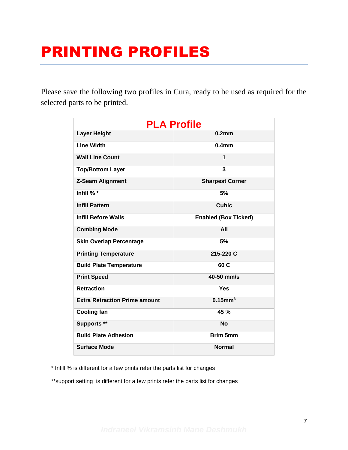# PRINTING PROFILES

Please save the following two profiles in Cura, ready to be used as required for the selected parts to be printed.

| <b>PLA Profile</b>                   |                             |  |
|--------------------------------------|-----------------------------|--|
| <b>Layer Height</b>                  | 0.2 <sub>mm</sub>           |  |
| <b>Line Width</b>                    | 0.4 <sub>mm</sub>           |  |
| <b>Wall Line Count</b>               | 1                           |  |
| <b>Top/Bottom Layer</b>              | 3                           |  |
| <b>Z-Seam Alignment</b>              | <b>Sharpest Corner</b>      |  |
| Infill % *                           | 5%                          |  |
| <b>Infill Pattern</b>                | <b>Cubic</b>                |  |
| <b>Infill Before Walls</b>           | <b>Enabled (Box Ticked)</b> |  |
| <b>Combing Mode</b>                  | All                         |  |
| <b>Skin Overlap Percentage</b>       | 5%                          |  |
| <b>Printing Temperature</b>          | 215-220 C                   |  |
| <b>Build Plate Temperature</b>       | 60 C                        |  |
| <b>Print Speed</b>                   | 40-50 mm/s                  |  |
| <b>Retraction</b>                    | Yes                         |  |
| <b>Extra Retraction Prime amount</b> | $0.15$ mm <sup>3</sup>      |  |
| <b>Cooling fan</b>                   | 45 %                        |  |
| Supports **                          | <b>No</b>                   |  |
| <b>Build Plate Adhesion</b>          | <b>Brim 5mm</b>             |  |
| <b>Surface Mode</b>                  | <b>Normal</b>               |  |

\* Infill % is different for a few prints refer the parts list for changes

\*\*support setting is different for a few prints refer the parts list for changes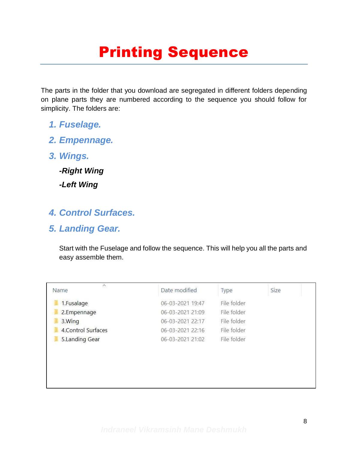# Printing Sequence

The parts in the folder that you download are segregated in different folders depending on plane parts they are numbered according to the sequence you should follow for simplicity. The folders are:

- *1. Fuselage.*
- *2. Empennage.*
- *3. Wings.*

*-Right Wing -Left Wing*

#### *4. Control Surfaces.*

#### *5. Landing Gear.*

Start with the Fuselage and follow the sequence. This will help you all the parts and easy assemble them.

| $\hat{\phantom{a}}$<br>Name | Date modified    | Type        | Size |
|-----------------------------|------------------|-------------|------|
| 1.Fusalage                  | 06-03-2021 19:47 | File folder |      |
| 2.Empennage                 | 06-03-2021 21:09 | File folder |      |
| 3. Wing                     | 06-03-2021 22:17 | File folder |      |
| 4. Control Surfaces         | 06-03-2021 22:16 | File folder |      |
| 5.Landing Gear              | 06-03-2021 21:02 | File folder |      |
|                             |                  |             |      |
|                             |                  |             |      |
|                             |                  |             |      |
|                             |                  |             |      |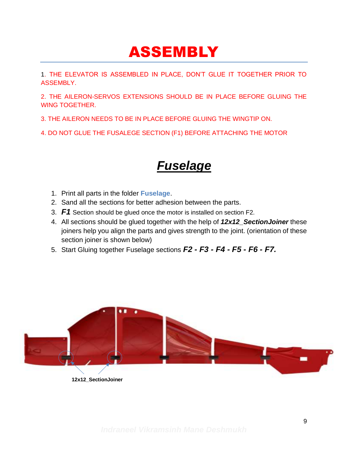## ASSEMBLY

1. THE ELEVATOR IS ASSEMBLED IN PLACE, DON'T GLUE IT TOGETHER PRIOR TO ASSEMBLY.

2. THE AILERON-SERVOS EXTENSIONS SHOULD BE IN PLACE BEFORE GLUING THE WING TOGETHER.

3. THE AILERON NEEDS TO BE IN PLACE BEFORE GLUING THE WINGTIP ON.

4. DO NOT GLUE THE FUSALEGE SECTION (F1) BEFORE ATTACHING THE MOTOR

#### *Fuselage*

- 1. Print all parts in the folder **Fuselage**.
- 2. Sand all the sections for better adhesion between the parts.
- 3. *F1* Section should be glued once the motor is installed on section F2.
- 4. All sections should be glued together with the help of *12x12\_SectionJoiner* these joiners help you align the parts and gives strength to the joint. (orientation of these section joiner is shown below)
- 5. Start Gluing together Fuselage sections *F2 - F3 - F4 - F5 - F6 - F7.*



**12x12\_SectionJoiner**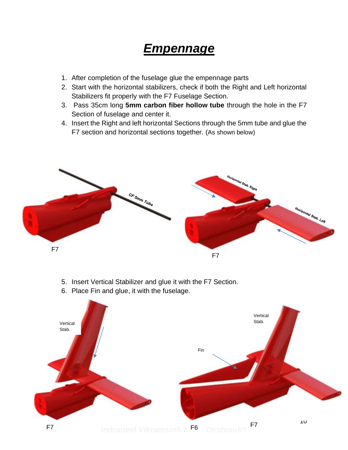#### *Empennage*

- 1. After completion of the fuselage glue the empennage parts
- 2. Start with the horizontal stabilizers, check if both the Right and Left horizontal Stabilizers fit properly with the F7 Fuselage Section.
- 3. Pass 35cm long **5mm carbon fiber hollow tube** through the hole in the F7 Section of fuselage and center it.
- 4. Insert the Right and left horizontal Sections through the 5mm tube and glue the F7 section and horizontal sections together. (As shown below)



- 5. Insert Vertical Stabilizer and glue it with the F7 Section.
- 6. Place Fin and glue, it with the fuselage.

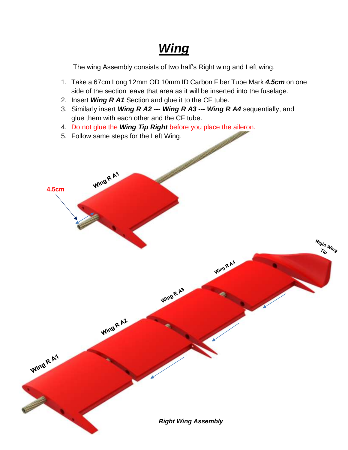## *Wing*

The wing Assembly consists of two half's Right wing and Left wing.

- 1. Take a 67cm Long 12mm OD 10mm ID Carbon Fiber Tube Mark *4.5cm* on one side of the section leave that area as it will be inserted into the fuselage.
- 2. Insert *Wing R A1* Section and glue it to the CF tube.
- 3. Similarly insert *Wing R A2 --- Wing R A3 --- Wing R A4* sequentially, and glue them with each other and the CF tube.

Wing R A3

- 4. Do not glue the *Wing Tip Right* before you place the aileron.
- 5. Follow same steps for the Left Wing.

Wing R A1

Wing R A2

**4.5cm**

Wing R A1

*Right Wing Assembly*

Wing R A4

Right Wing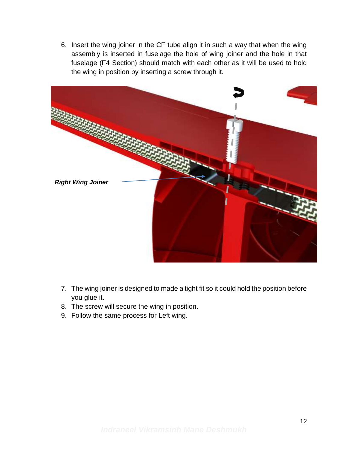6. Insert the wing joiner in the CF tube align it in such a way that when the wing assembly is inserted in fuselage the hole of wing joiner and the hole in that fuselage (F4 Section) should match with each other as it will be used to hold the wing in position by inserting a screw through it.



- 7. The wing joiner is designed to made a tight fit so it could hold the position before you glue it.
- 8. The screw will secure the wing in position.
- 9. Follow the same process for Left wing.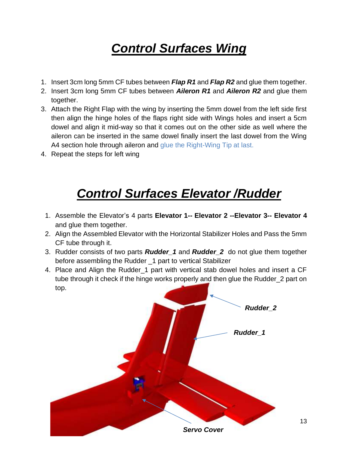## *Control Surfaces Wing*

- 1. Insert 3cm long 5mm CF tubes between *Flap R1* and *Flap R2* and glue them together.
- 2. Insert 3cm long 5mm CF tubes between *Aileron R1* and *Aileron R2* and glue them together.
- 3. Attach the Right Flap with the wing by inserting the 5mm dowel from the left side first then align the hinge holes of the flaps right side with Wings holes and insert a 5cm dowel and align it mid-way so that it comes out on the other side as well where the aileron can be inserted in the same dowel finally insert the last dowel from the Wing A4 section hole through aileron and glue the Right-Wing Tip at last.
- 4. Repeat the steps for left wing

## *Control Surfaces Elevator /Rudder*

- 1. Assemble the Elevator's 4 parts **Elevator 1-- Elevator 2 --Elevator 3-- Elevator 4** and glue them together.
- 2. Align the Assembled Elevator with the Horizontal Stabilizer Holes and Pass the 5mm CF tube through it.
- 3. Rudder consists of two parts *Rudder\_1* and *Rudder\_2* do not glue them together before assembling the Rudder \_1 part to vertical Stabilizer
- 4. Place and Align the Rudder\_1 part with vertical stab dowel holes and insert a CF tube through it check if the hinge works properly and then glue the Rudder\_2 part on top.



13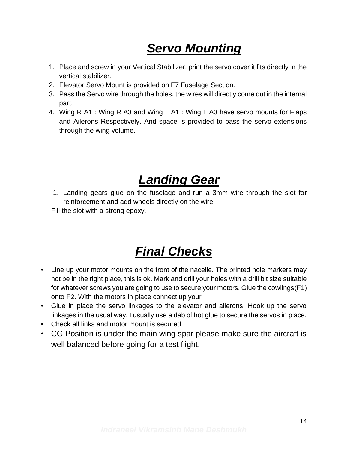## *Servo Mounting*

- 1. Place and screw in your Vertical Stabilizer, print the servo cover it fits directly in the vertical stabilizer.
- 2. Elevator Servo Mount is provided on F7 Fuselage Section.
- 3. Pass the Servo wire through the holes, the wires will directly come out in the internal part.
- 4. Wing R A1 : Wing R A3 and Wing L A1 : Wing L A3 have servo mounts for Flaps and Ailerons Respectively. And space is provided to pass the servo extensions through the wing volume.

### *Landing Gear*

1. Landing gears glue on the fuselage and run a 3mm wire through the slot for reinforcement and add wheels directly on the wire

Fill the slot with a strong epoxy.

## *Final Checks*

- Line up your motor mounts on the front of the nacelle. The printed hole markers may not be in the right place, this is ok. Mark and drill your holes with a drill bit size suitable for whatever screws you are going to use to secure your motors. Glue the cowlings(F1) onto F2. With the motors in place connect up your
- Glue in place the servo linkages to the elevator and ailerons. Hook up the servo linkages in the usual way. I usually use a dab of hot glue to secure the servos in place.
- Check all links and motor mount is secured
- CG Position is under the main wing spar please make sure the aircraft is well balanced before going for a test flight.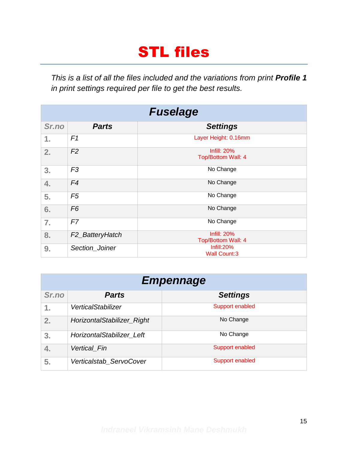# STL files

*This is a list of all the files included and the variations from print Profile 1 in print settings required per file to get the best results.*

| <b>Fuselage</b> |                              |                                          |
|-----------------|------------------------------|------------------------------------------|
| Sr.no           | <b>Parts</b>                 | <b>Settings</b>                          |
| 1.              | F1                           | Layer Height: 0.16mm                     |
| 2.              | F <sub>2</sub>               | <b>Infill: 20%</b><br>Top/Bottom Wall: 4 |
| 3.              | F <sub>3</sub>               | No Change                                |
| 4.              | F4                           | No Change                                |
| 5.              | F5                           | No Change                                |
| 6.              | F <sub>6</sub>               | No Change                                |
| 7.              | F7                           | No Change                                |
| 8.              | F <sub>2</sub> _BatteryHatch | <b>Infill: 20%</b><br>Top/Bottom Wall: 4 |
| 9.              | Section_Joiner               | Infill: 20%<br><b>Wall Count:3</b>       |

| <b>Empennage</b> |                            |                 |
|------------------|----------------------------|-----------------|
| Sr.no            | <b>Parts</b>               | <b>Settings</b> |
| 1.               | <b>VerticalStabilizer</b>  | Support enabled |
| 2.               | HorizontalStabilizer_Right | No Change       |
| 3.               | HorizontalStabilizer Left  | No Change       |
| 4.               | <b>Vertical Fin</b>        | Support enabled |
| 5.               | Verticalstab_ServoCover    | Support enabled |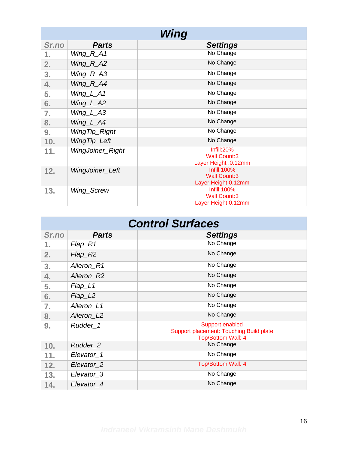| Wing  |                  |                                              |
|-------|------------------|----------------------------------------------|
| Sr.no | <b>Parts</b>     | <b>Settings</b>                              |
| 1.    | $Wing_R_A1$      | No Change                                    |
| 2.    | $Wing_R_A2$      | No Change                                    |
| 3.    | Wing_R_A3        | No Change                                    |
| 4.    | $Wing\_R\_A4$    | No Change                                    |
| 5.    | $Wing_l_A 1$     | No Change                                    |
| 6.    | Wing_L_A2        | No Change                                    |
| 7.    | $Wing_L_A3$      | No Change                                    |
| 8.    | $Wing\_L\_A4$    | No Change                                    |
| 9.    | WingTip_Right    | No Change                                    |
| 10.   | WingTip_Left     | No Change                                    |
| 11.   | WingJoiner_Right | Infill:20%                                   |
|       |                  | <b>Wall Count:3</b><br>Layer Height : 0.12mm |
|       | WingJoiner_Left  | Infill: 100%                                 |
| 12.   |                  | <b>Wall Count:3</b>                          |
|       |                  | Layer Height; 0.12mm                         |
| 13.   | Wing_Screw       | Infill: 100%                                 |
|       |                  | <b>Wall Count:3</b>                          |
|       |                  | Layer Height; 0.12mm                         |

| <b>Control Surfaces</b> |                                |                                                                                  |
|-------------------------|--------------------------------|----------------------------------------------------------------------------------|
| Sr.no                   | <b>Parts</b>                   | <b>Settings</b>                                                                  |
| 1.                      | Flap_R1                        | No Change                                                                        |
| 2.                      | Flap_R2                        | No Change                                                                        |
| 3.                      | Aileron R1                     | No Change                                                                        |
| 4.                      | Aileron R2                     | No Change                                                                        |
| 5.                      | $Flag$ <sub>L1</sub>           | No Change                                                                        |
| 6.                      | $Flag2 \overline{\phantom{a}}$ | No Change                                                                        |
| 7.                      | Aileron_L1                     | No Change                                                                        |
| 8.                      | Aileron_L2                     | No Change                                                                        |
| 9.                      | Rudder_1                       | Support enabled<br>Support placement: Touching Build plate<br>Top/Bottom Wall: 4 |
| 10.                     | Rudder 2                       | No Change                                                                        |
| 11.                     | Elevator 1                     | No Change                                                                        |
| 12.                     | Elevator <sub>2</sub>          | <b>Top/Bottom Wall: 4</b>                                                        |
| 13.                     | Elevator_3                     | No Change                                                                        |
| 14.                     | Elevator 4                     | No Change                                                                        |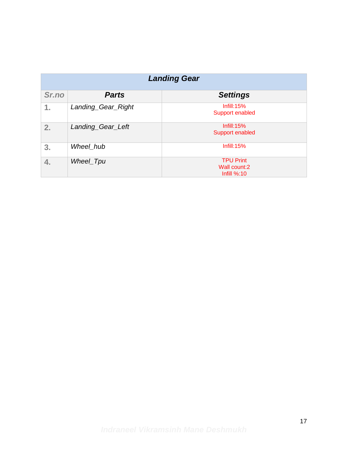| <b>Landing Gear</b> |                    |                                                        |
|---------------------|--------------------|--------------------------------------------------------|
| Sr.no               | <b>Parts</b>       | <b>Settings</b>                                        |
| 1.                  | Landing_Gear_Right | Infill: $15%$<br>Support enabled                       |
| 2.                  | Landing_Gear_Left  | Infill: $15%$<br>Support enabled                       |
| 3.                  | Wheel_hub          | Infill: 15%                                            |
| 4.                  | Wheel_Tpu          | <b>TPU Print</b><br>Wall count:2<br><b>Infill %:10</b> |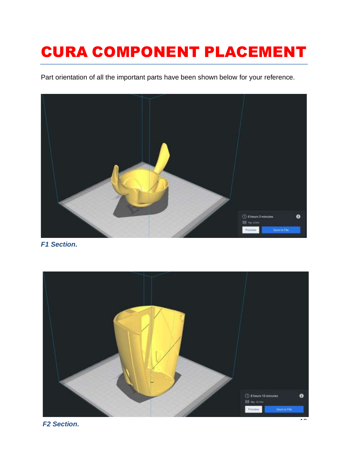# CURA COMPONENT PLACEMENT

Part orientation of all the important parts have been shown below for your reference.



*F1 Section.*



*F2 Section.*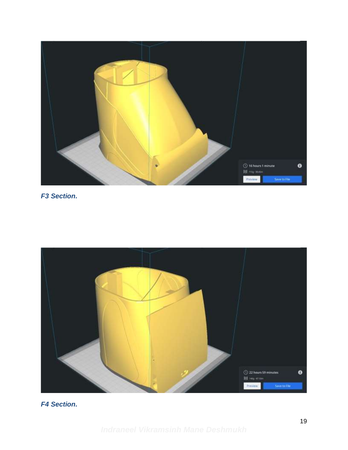

#### *F3 Section.*



#### *F4 Section.*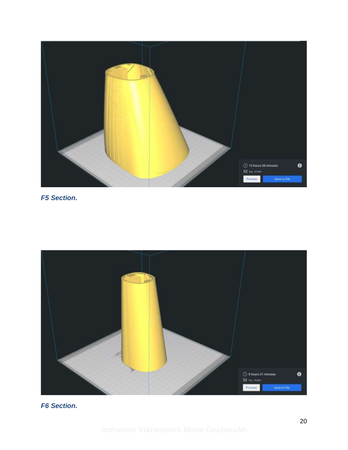

#### *F5 Section.*



#### *F6 Section.*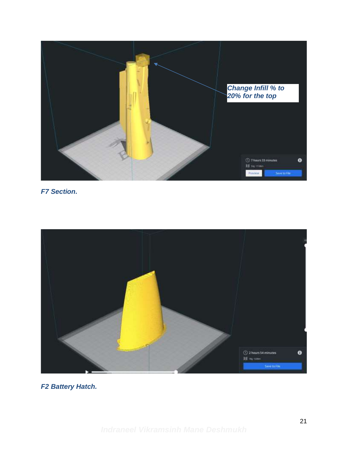

*F7 Section.*



*F2 Battery Hatch.*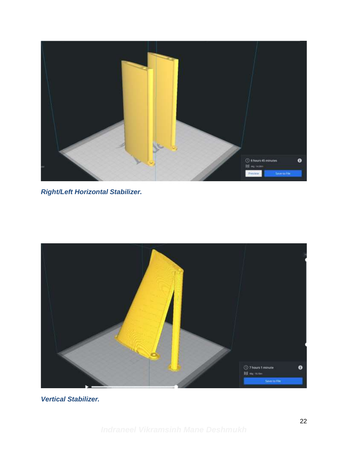

*Right/Left Horizontal Stabilizer.*



*Vertical Stabilizer.*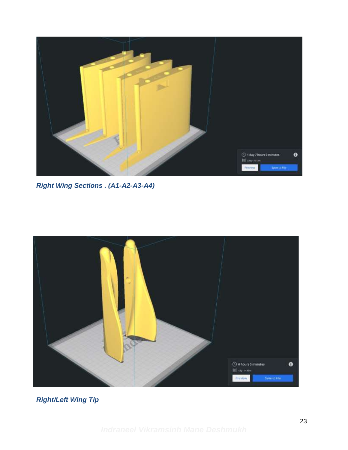

*Right Wing Sections . (A1-A2-A3-A4)*



*Right/Left Wing Tip*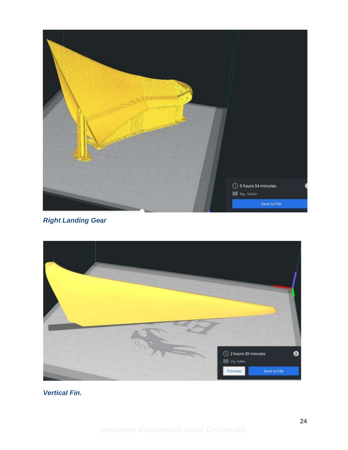

*Right Landing Gear*



*Vertical Fin.*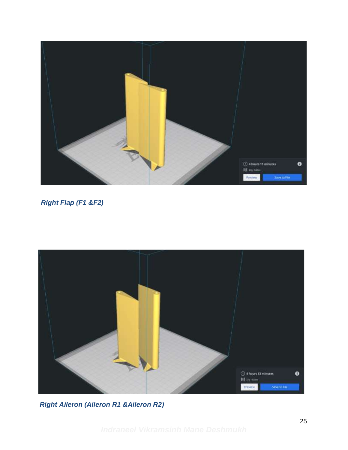

#### *Right Flap (F1 &F2)*



*Right Aileron (Aileron R1 &Aileron R2)*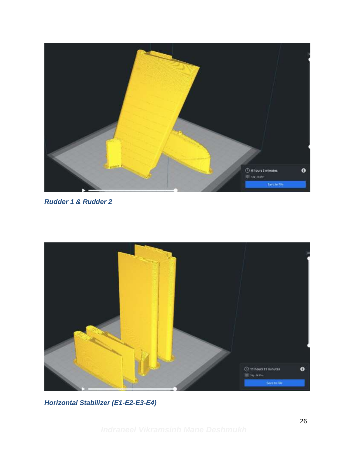

*Rudder 1 & Rudder 2*



*Horizontal Stabilizer (E1-E2-E3-E4)*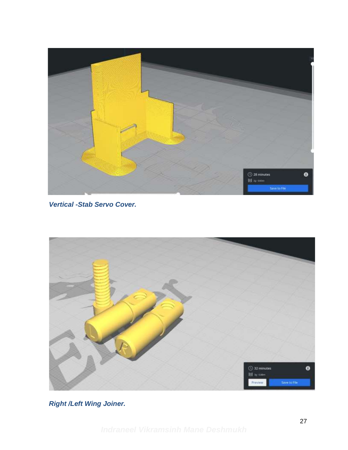

*Vertical -Stab Servo Cover.*



*Right /Left Wing Joiner.*